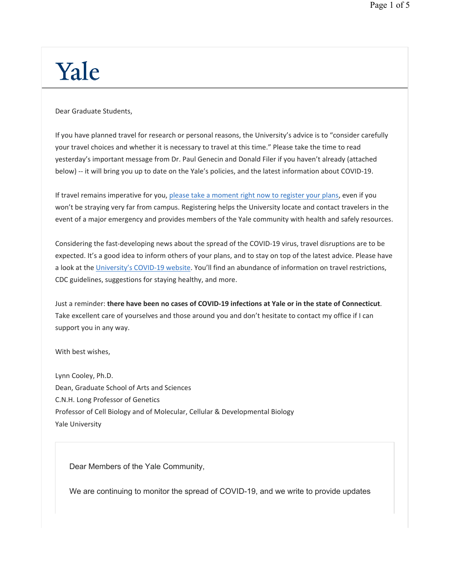## Yale

Dear Graduate Students,

If you have planned travel for research or personal reasons, the University's advice is to "consider carefully your travel choices and whether it is necessary to travel at this time." Please take the time to read yesterday's important message from Dr. Paul Genecin and Donald Filer if you haven't already (attached below) -- it will bring you up to date on the Yale's policies, and the latest information about COVID-19.

If travel remains imperative for you, please take a moment right now to register your plans, even if you won't be straying very far from campus. Registering helps the University locate and contact travelers in the event of a major emergency and provides members of the Yale community with health and safely resources.

Considering the fast-developing news about the spread of the COVID-19 virus, travel disruptions are to be expected. It's a good idea to inform others of your plans, and to stay on top of the latest advice. Please have a look at the University's COVID-19 website. You'll find an abundance of information on travel restrictions, CDC guidelines, suggestions for staying healthy, and more.

Just a reminder: **there have been no cases of COVID-19 infections at Yale or in the state of Connecticut**. Take excellent care of yourselves and those around you and don't hesitate to contact my office if I can support you in any way.

With best wishes,

Lynn Cooley, Ph.D. Dean, Graduate School of Arts and Sciences C.N.H. Long Professor of Genetics Professor of Cell Biology and of Molecular, Cellular & Developmental Biology Yale University

Dear Members of the Yale Community,

We are continuing to monitor the spread of COVID-19, and we write to provide updates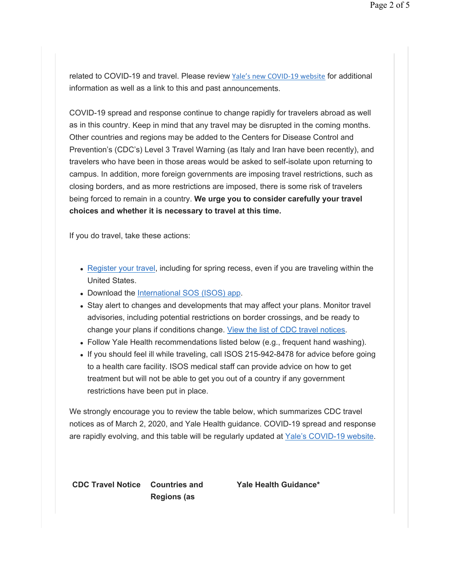related to COVID-19 and travel. Please review Yale's new COVID-19 website for additional information as well as a link to this and past announcements.

COVID-19 spread and response continue to change rapidly for travelers abroad as well as in this country. Keep in mind that any travel may be disrupted in the coming months. Other countries and regions may be added to the Centers for Disease Control and Prevention's (CDC's) Level 3 Travel Warning (as Italy and Iran have been recently), and travelers who have been in those areas would be asked to self-isolate upon returning to campus. In addition, more foreign governments are imposing travel restrictions, such as closing borders, and as more restrictions are imposed, there is some risk of travelers being forced to remain in a country. **We urge you to consider carefully your travel choices and whether it is necessary to travel at this time.** 

If you do travel, take these actions:

- Register your travel, including for spring recess, even if you are traveling within the United States.
- Download the International SOS (ISOS) app.
- Stay alert to changes and developments that may affect your plans. Monitor travel advisories, including potential restrictions on border crossings, and be ready to change your plans if conditions change. View the list of CDC travel notices.
- Follow Yale Health recommendations listed below (e.g., frequent hand washing).
- If you should feel ill while traveling, call ISOS 215-942-8478 for advice before going to a health care facility. ISOS medical staff can provide advice on how to get treatment but will not be able to get you out of a country if any government restrictions have been put in place.

We strongly encourage you to review the table below, which summarizes CDC travel notices as of March 2, 2020, and Yale Health guidance. COVID-19 spread and response are rapidly evolving, and this table will be regularly updated at Yale's COVID-19 website.

**CDC Travel Notice Countries and** 

**Regions (as**

**Yale Health Guidance\***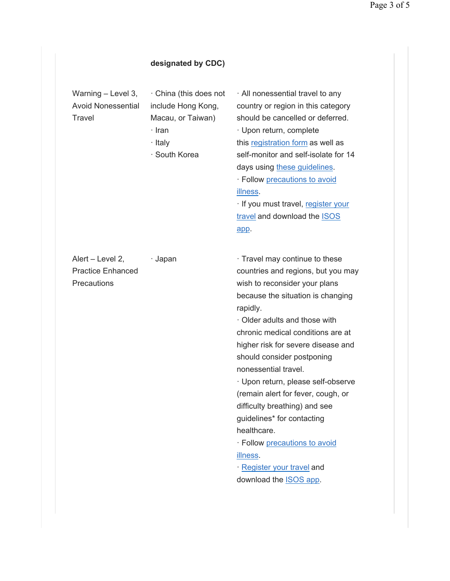## **designated by CDC)**

Warning – Level 3, Avoid Nonessential **Travel** 

· China (this does not include Hong Kong, Macau, or Taiwan)

- · Iran
- · Italy

· South Korea

· All nonessential travel to any country or region in this category should be cancelled or deferred. · Upon return, complete this registration form as well as self-monitor and self-isolate for 14 days using these guidelines. · Follow precautions to avoid illness.

· If you must travel, register your travel and download the **ISOS** app.

Alert – Level 2, Practice Enhanced **Precautions** 

· Japan · Travel may continue to these countries and regions, but you may wish to reconsider your plans because the situation is changing rapidly.

> · Older adults and those with chronic medical conditions are at higher risk for severe disease and should consider postponing nonessential travel.

> · Upon return, please self-observe (remain alert for fever, cough, or difficulty breathing) and see guidelines\* for contacting healthcare.

· Follow precautions to avoid illness.

· Register your travel and download the ISOS app.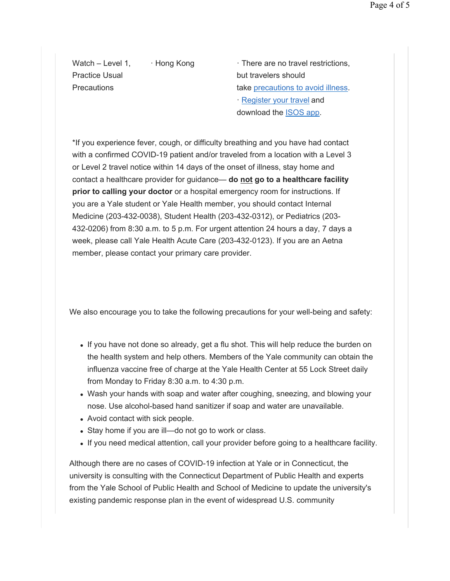Watch – Level 1, Practice Usual **Precautions** 

 $\cdot$  Hong Kong  $\cdot$  There are no travel restrictions, but travelers should take precautions to avoid illness. · Register your travel and download the ISOS app.

\*If you experience fever, cough, or difficulty breathing and you have had contact with a confirmed COVID-19 patient and/or traveled from a location with a Level 3 or Level 2 travel notice within 14 days of the onset of illness, stay home and contact a healthcare provider for guidance— **do not go to a healthcare facility prior to calling your doctor** or a hospital emergency room for instructions. If you are a Yale student or Yale Health member, you should contact Internal Medicine (203-432-0038), Student Health (203-432-0312), or Pediatrics (203- 432-0206) from 8:30 a.m. to 5 p.m. For urgent attention 24 hours a day, 7 days a week, please call Yale Health Acute Care (203-432-0123). If you are an Aetna member, please contact your primary care provider.

We also encourage you to take the following precautions for your well-being and safety:

- If you have not done so already, get a flu shot. This will help reduce the burden on the health system and help others. Members of the Yale community can obtain the influenza vaccine free of charge at the Yale Health Center at 55 Lock Street daily from Monday to Friday 8:30 a.m. to 4:30 p.m.
- Wash your hands with soap and water after coughing, sneezing, and blowing your nose. Use alcohol-based hand sanitizer if soap and water are unavailable.
- Avoid contact with sick people.
- Stay home if you are ill—do not go to work or class.
- If you need medical attention, call your provider before going to a healthcare facility.

Although there are no cases of COVID-19 infection at Yale or in Connecticut, the university is consulting with the Connecticut Department of Public Health and experts from the Yale School of Public Health and School of Medicine to update the university's existing pandemic response plan in the event of widespread U.S. community